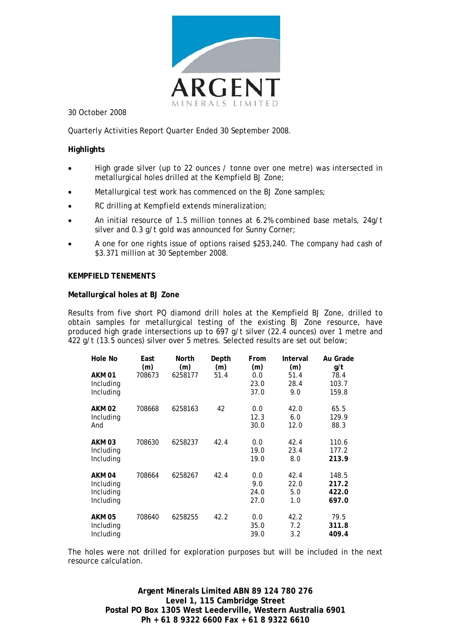

30 October 2008

Quarterly Activities Report Quarter Ended 30 September 2008.

#### **Highlights**

- High grade silver (up to 22 ounces / tonne over one metre) was intersected in metallurgical holes drilled at the Kempfield BJ Zone;
- Metallurgical test work has commenced on the BJ Zone samples;
- RC drilling at Kempfield extends mineralization;
- An initial resource of 1.5 million tonnes at 6.2% combined base metals, 24g/t silver and 0.3 g/t gold was announced for Sunny Corner;
- A one for one rights issue of options raised \$253,240. The company had cash of \$3.371 million at 30 September 2008.

#### **KEMPFIELD TENEMENTS**

#### **Metallurgical holes at BJ Zone**

Results from five short PQ diamond drill holes at the Kempfield BJ Zone, drilled to obtain samples for metallurgical testing of the existing BJ Zone resource, have produced high grade intersections up to 697 g/t silver (22.4 ounces) over 1 metre and 422 g/t (13.5 ounces) silver over 5 metres. Selected results are set out below;

| Hole No                | East<br>(m) | North<br>(m) | Depth<br>(m) | From<br>(m) | Interval<br>(m) | Au Grade<br>g/t |
|------------------------|-------------|--------------|--------------|-------------|-----------------|-----------------|
| AKM 01                 | 708673      | 6258177      | 51.4         | 0.0<br>23.0 | 51.4<br>28.4    | 78.4<br>103.7   |
| Including<br>Including |             |              |              | 37.0        | 9.0             | 159.8           |
| <b>AKM 02</b>          | 708668      | 6258163      | 42           | 0.0         | 42.0            | 65.5            |
| Including              |             |              |              | 12.3        | 6.0             | 129.9           |
| And                    |             |              |              | 30.0        | 12.0            | 88.3            |
| <b>AKM 03</b>          | 708630      | 6258237      | 42.4         | 0.0         | 42.4            | 110.6           |
| Including              |             |              |              | 19.0        | 23.4            | 177.2           |
| Including              |             |              |              | 19.0        | 8.0             | 213.9           |
| AKM <sub>04</sub>      | 708664      | 6258267      | 42.4         | 0.0         | 42.4            | 148.5           |
| Including              |             |              |              | 9.0         | 22.0            | 217.2           |
| Including              |             |              |              | 24.0        | 5.0             | 422.0           |
| Including              |             |              |              | 27.0        | 1.0             | 697.0           |
| <b>AKM 05</b>          | 708640      | 6258255      | 42.2         | 0.0         | 42.2            | 79.5            |
| Including              |             |              |              | 35.0        | 7.2             | 311.8           |
| Including              |             |              |              | 39.0        | 3.2             | 409.4           |

The holes were not drilled for exploration purposes but will be included in the next resource calculation.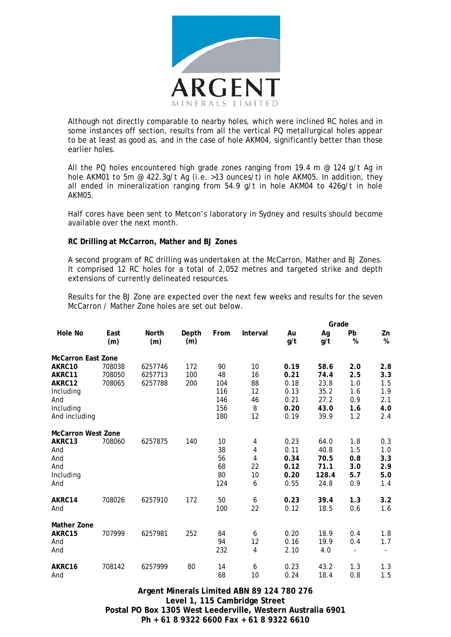

Although not directly comparable to nearby holes, which were inclined RC holes and in some instances off section, results from all the vertical PQ metallurgical holes appear to be at least as good as, and in the case of hole AKM04, significantly better than those earlier holes.

All the PQ holes encountered high grade zones ranging from 19.4 m  $\omega$  124 g/t Ag in hole AKM01 to 5m @ 422.3g/t Ag (i.e. >13 ounces/t) in hole AKM05. In addition, they all ended in mineralization ranging from 54.9 g/t in hole AKM04 to 426g/t in hole AKM05.

Half cores have been sent to Metcon's laboratory in Sydney and results should become available over the next month.

#### **RC Drilling at McCarron, Mather and BJ Zones**

A second program of RC drilling was undertaken at the McCarron, Mather and BJ Zones. It comprised 12 RC holes for a total of 2,052 metres and targeted strike and depth extensions of currently delineated resources.

Results for the BJ Zone are expected over the next few weeks and results for the seven McCarron / Mather Zone holes are set out below.

|                           |             |              |              |      |          |           | Grade     |                   |            |  |
|---------------------------|-------------|--------------|--------------|------|----------|-----------|-----------|-------------------|------------|--|
| <b>Hole No</b>            | East<br>(m) | North<br>(m) | Depth<br>(m) | From | Interval | Au<br>g/t | Ag<br>g/t | <b>Pb</b><br>$\%$ | Zn<br>$\%$ |  |
| <b>McCarron East Zone</b> |             |              |              |      |          |           |           |                   |            |  |
| AKRC10                    | 708038      | 6257746      | 172          | 90   | 10       | 0.19      | 58.6      | 2.0               | 2.8        |  |
| AKRC11                    | 708050      | 6257713      | 100          | 48   | 16       | 0.21      | 74.4      | 2.5               | 3.3        |  |
| AKRC12                    | 708065      | 6257788      | 200          | 104  | 88       | 0.18      | 23.8      | 1.0               | 1.5        |  |
| Including                 |             |              |              | 116  | 12       | 0.13      | 35.2      | 1.6               | 1.9        |  |
| And                       |             |              |              | 146  | 46       | 0.21      | 27.2      | 0.9               | 2.1        |  |
| Including                 |             |              |              | 156  | 8        | 0.20      | 43.0      | 1.6               | 4.0        |  |
| And including             |             |              |              | 180  | 12       | 0.19      | 39.9      | 1.2               | 2.4        |  |
| <b>McCarron West Zone</b> |             |              |              |      |          |           |           |                   |            |  |
| AKRC13                    | 708060      | 6257875      | 140          | 10   | 4        | 0.23      | 64.0      | 1.8               | 0.3        |  |
| And                       |             |              |              | 38   | 4        | 0.11      | 40.8      | 1.5               | 1.0        |  |
| And                       |             |              |              | 56   | 4        | 0.34      | 70.5      | 0.8               | 3.3        |  |
| And                       |             |              |              | 68   | 22       | 0.12      | 71.1      | 3.0               | 2.9        |  |
| Including                 |             |              |              | 80   | 10       | 0.20      | 128.4     | 5.7               | 5.0        |  |
| And                       |             |              |              | 124  | 6        | 0.55      | 24.8      | 0.9               | 1.4        |  |
| AKRC14                    | 708026      | 6257910      | 172          | 50   | 6        | 0.23      | 39.4      | 1.3               | 3.2        |  |
| And                       |             |              |              | 100  | 22       | 0.12      | 18.5      | 0.6               | 1.6        |  |
| Mather Zone               |             |              |              |      |          |           |           |                   |            |  |
| AKRC15                    | 707999      | 6257981      | 252          | 84   | 6        | 0.20      | 18.9      | 0.4               | 1.8        |  |
| And                       |             |              |              | 94   | 12       | 0.16      | 19.9      | 0.4               | 1.7        |  |
| And                       |             |              |              | 232  | 4        | 2.10      | 4.0       |                   |            |  |
| AKRC16                    | 708142      | 6257999      | 80           | 14   | 6        | 0.23      | 43.2      | 1.3               | 1.3        |  |
| And                       |             |              |              | 68   | 10       | 0.24      | 18.4      | 0.8               | 1.5        |  |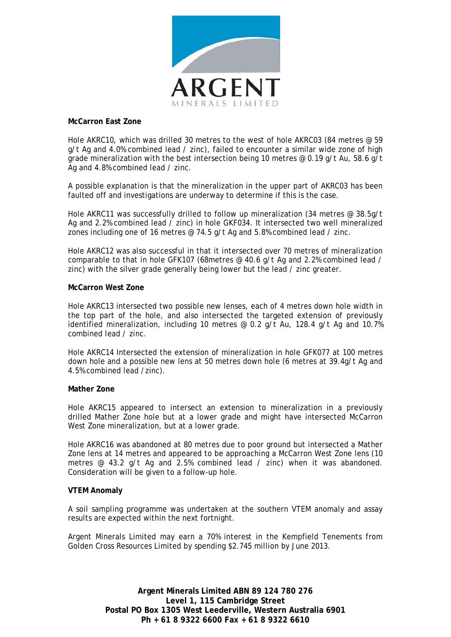

#### **McCarron East Zone**

Hole AKRC10, which was drilled 30 metres to the west of hole AKRC03 (84 metres @ 59 g/t Ag and 4.0% combined lead / zinc), failed to encounter a similar wide zone of high grade mineralization with the best intersection being 10 metres @ 0.19 g/t Au, 58.6 g/t Ag and 4.8% combined lead / zinc.

A possible explanation is that the mineralization in the upper part of AKRC03 has been faulted off and investigations are underway to determine if this is the case.

Hole AKRC11 was successfully drilled to follow up mineralization (34 metres @ 38.5g/t Ag and 2.2% combined lead / zinc) in hole GKF034. It intersected two well mineralized zones including one of 16 metres @ 74.5 g/t Ag and 5.8% combined lead / zinc.

Hole AKRC12 was also successful in that it intersected over 70 metres of mineralization comparable to that in hole GFK107 (68metres @ 40.6 g/t Ag and 2.2% combined lead / zinc) with the silver grade generally being lower but the lead / zinc greater.

#### **McCarron West Zone**

Hole AKRC13 intersected two possible new lenses, each of 4 metres down hole width in the top part of the hole, and also intersected the targeted extension of previously identified mineralization, including 10 metres @ 0.2 g/t Au, 128.4 g/t Ag and 10.7% combined lead / zinc.

Hole AKRC14 Intersected the extension of mineralization in hole GFK077 at 100 metres down hole and a possible new lens at 50 metres down hole (6 metres at 39.4g/t Ag and 4.5% combined lead /zinc).

#### **Mather Zone**

Hole AKRC15 appeared to intersect an extension to mineralization in a previously drilled Mather Zone hole but at a lower grade and might have intersected McCarron West Zone mineralization, but at a lower grade.

Hole AKRC16 was abandoned at 80 metres due to poor ground but intersected a Mather Zone lens at 14 metres and appeared to be approaching a McCarron West Zone lens (10 metres @ 43.2 g/t Ag and 2.5% combined lead / zinc) when it was abandoned. Consideration will be given to a follow-up hole.

#### **VTEM Anomaly**

A soil sampling programme was undertaken at the southern VTEM anomaly and assay results are expected within the next fortnight.

Argent Minerals Limited may earn a 70% interest in the Kempfield Tenements from Golden Cross Resources Limited by spending \$2.745 million by June 2013.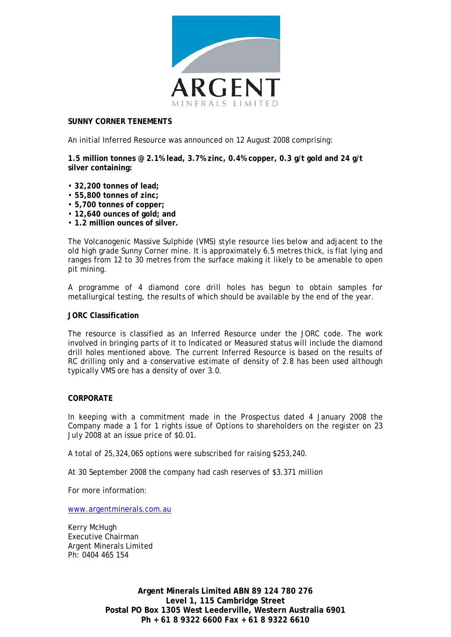

#### **SUNNY CORNER TENEMENTS**

An initial Inferred Resource was announced on 12 August 2008 comprising:

**1.5 million tonnes @ 2.1% lead, 3.7% zinc, 0.4% copper, 0.3 g/t gold and 24 g/t silver containing:** 

- **32,200 tonnes of lead;**
- **55,800 tonnes of zinc;**
- **5,700 tonnes of copper;**
- **12,640 ounces of gold; and**
- **1.2 million ounces of silver.**

The Volcanogenic Massive Sulphide (VMS) style resource lies below and adjacent to the old high grade Sunny Corner mine. It is approximately 6.5 metres thick, is flat lying and ranges from 12 to 30 metres from the surface making it likely to be amenable to open pit mining.

A programme of 4 diamond core drill holes has begun to obtain samples for metallurgical testing, the results of which should be available by the end of the year.

#### **JORC Classification**

The resource is classified as an Inferred Resource under the JORC code. The work involved in bringing parts of it to Indicated or Measured status will include the diamond drill holes mentioned above. The current Inferred Resource is based on the results of RC drilling only and a conservative estimate of density of 2.8 has been used although typically VMS ore has a density of over 3.0.

#### **CORPORATE**

In keeping with a commitment made in the Prospectus dated 4 January 2008 the Company made a 1 for 1 rights issue of Options to shareholders on the register on 23 July 2008 at an issue price of \$0.01.

A total of 25,324,065 options were subscribed for raising \$253,240.

At 30 September 2008 the company had cash reserves of \$3.371 million

For more information:

[www.argentminerals.com.au](http://www.argentminerals.com.au/)

Kerry McHugh Executive Chairman Argent Minerals Limited Ph: 0404 465 154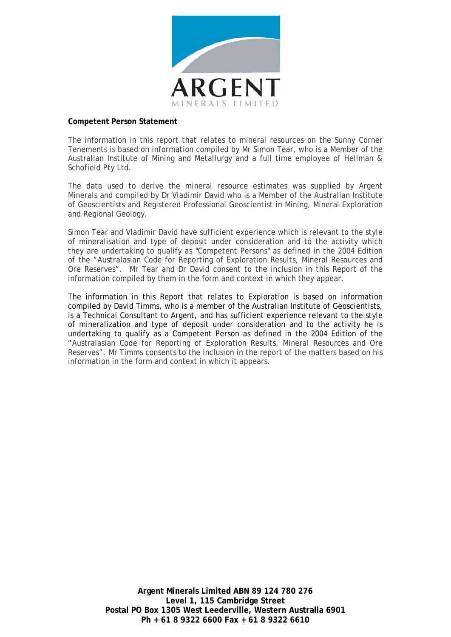

#### **Competent Person Statement**

The information in this report that relates to mineral resources on the Sunny Corner Tenements is based on information compiled by Mr Simon Tear, who is a Member of the Australian Institute of Mining and Metallurgy and a full time employee of Hellman & Schofield Pty Ltd.

The data used to derive the mineral resource estimates was supplied by Argent Minerals and compiled by Dr Vladimir David who is a Member of the Australian Institute of Geoscientists and Registered Professional Geoscientist in Mining, Mineral Exploration and Regional Geology.

Simon Tear and Vladimir David have sufficient experience which is relevant to the style of mineralisation and type of deposit under consideration and to the activity which they are undertaking to qualify as "Competent Persons" as defined in the 2004 Edition of the "Australasian Code for Reporting of Exploration Results, Mineral Resources and Ore Reserves". Mr Tear and Dr David consent to the inclusion in this Report of the information compiled by them in the form and context in which they appear.

The information in this Report that relates to Exploration is based on information compiled by David Timms, who is a member of the Australian Institute of Geoscientists, is a Technical Consultant to Argent, and has sufficient experience relevant to the style of mineralization and type of deposit under consideration and to the activity he is undertaking to qualify as a Competent Person as defined in the 2004 Edition of the "Australasian Code for Reporting of Exploration Results, Mineral Resources and Ore Reserves". Mr Timms consents to the inclusion in the report of the matters based on his information in the form and context in which it appears.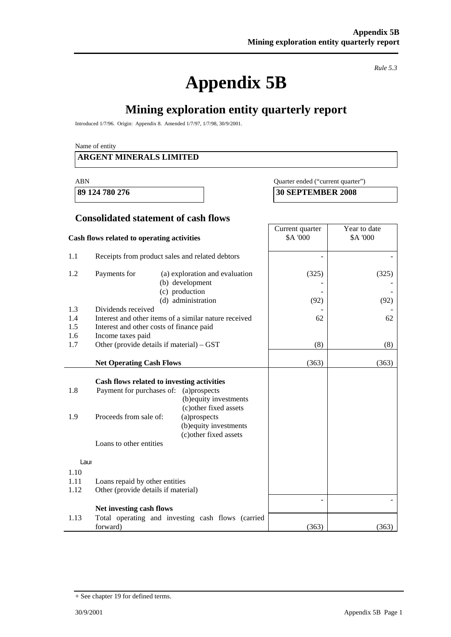# **Appendix 5B**

*Rule 5.3* 

# **Mining exploration entity quarterly report**

Introduced 1/7/96. Origin: Appendix 8. Amended 1/7/97, 1/7/98, 30/9/2001.

Name of entity

#### **ARGENT MINERALS LIMITED**

#### ABN Quarter ended ("current quarter")

**89 124 780 276 30 SEPTEMBER 2008** 

#### **Consolidated statement of cash flows**

|                      | Cash flows related to operating activities                                                                                   | Current quarter<br>\$A '000                                                                                                          | Year to date<br>\$A '000 |               |
|----------------------|------------------------------------------------------------------------------------------------------------------------------|--------------------------------------------------------------------------------------------------------------------------------------|--------------------------|---------------|
| 1.1                  | Receipts from product sales and related debtors                                                                              |                                                                                                                                      |                          |               |
| 1.2                  | Payments for<br>(b) development<br>(c) production<br>(d) administration                                                      | (a) exploration and evaluation                                                                                                       | (325)<br>(92)            | (325)<br>(92) |
| 1.3                  | Dividends received                                                                                                           |                                                                                                                                      |                          |               |
| 1.4                  | Interest and other items of a similar nature received                                                                        |                                                                                                                                      | 62                       | 62            |
| 1.5                  | Interest and other costs of finance paid                                                                                     |                                                                                                                                      |                          |               |
| 1.6                  | Income taxes paid                                                                                                            |                                                                                                                                      |                          |               |
| 1.7                  | Other (provide details if material) – GST                                                                                    |                                                                                                                                      | (8)                      | (8)           |
|                      | <b>Net Operating Cash Flows</b>                                                                                              |                                                                                                                                      | (363)                    | (363)         |
| 1.8<br>1.9           | Cash flows related to investing activities<br>Payment for purchases of:<br>Proceeds from sale of:<br>Loans to other entities | (a)prospects<br>(b) equity investments<br>(c) other fixed assets<br>(a)prospects<br>(b) equity investments<br>(c) other fixed assets |                          |               |
| Laur                 |                                                                                                                              |                                                                                                                                      |                          |               |
| 1.10<br>1.11<br>1.12 | Loans repaid by other entities<br>Other (provide details if material)                                                        |                                                                                                                                      |                          |               |
|                      | Net investing cash flows                                                                                                     |                                                                                                                                      |                          |               |
| 1.13                 | Total operating and investing cash flows (carried<br>forward)                                                                |                                                                                                                                      | (363)                    | (363)         |

<sup>+</sup> See chapter 19 for defined terms.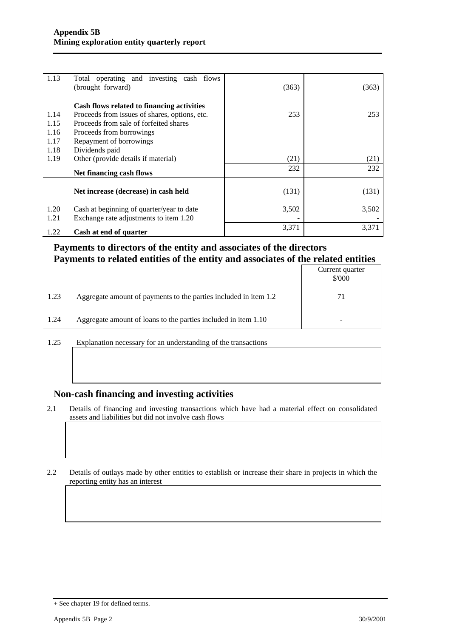| 1.13 | Total operating and investing cash flows      |       |       |
|------|-----------------------------------------------|-------|-------|
|      | (brought forward)                             | (363) | (363) |
|      |                                               |       |       |
|      | Cash flows related to financing activities    |       |       |
| 1.14 | Proceeds from issues of shares, options, etc. | 253   | 253   |
| 1.15 | Proceeds from sale of forfeited shares        |       |       |
| 1.16 | Proceeds from borrowings                      |       |       |
| 1.17 | Repayment of borrowings                       |       |       |
| 1.18 | Dividends paid                                |       |       |
| 1.19 | Other (provide details if material)           | (21)  | (21)  |
|      | Net financing cash flows                      | 232   | 232   |
|      |                                               |       |       |
|      | Net increase (decrease) in cash held          | (131) | (131) |
| 1.20 | Cash at beginning of quarter/year to date     | 3,502 | 3,502 |
| 1.21 | Exchange rate adjustments to item 1.20        |       |       |
| 1.22 | Cash at end of quarter                        | 3,371 | 3,371 |

### **Payments to directors of the entity and associates of the directors Payments to related entities of the entity and associates of the related entities**

|      |                                                                  | Current quarter<br>\$'000 |
|------|------------------------------------------------------------------|---------------------------|
| 1.23 | Aggregate amount of payments to the parties included in item 1.2 |                           |
| 1.24 | Aggregate amount of loans to the parties included in item 1.10   |                           |

1.25 Explanation necessary for an understanding of the transactions

#### **Non-cash financing and investing activities**

2.1 Details of financing and investing transactions which have had a material effect on consolidated assets and liabilities but did not involve cash flows

2.2 Details of outlays made by other entities to establish or increase their share in projects in which the reporting entity has an interest

<sup>+</sup> See chapter 19 for defined terms.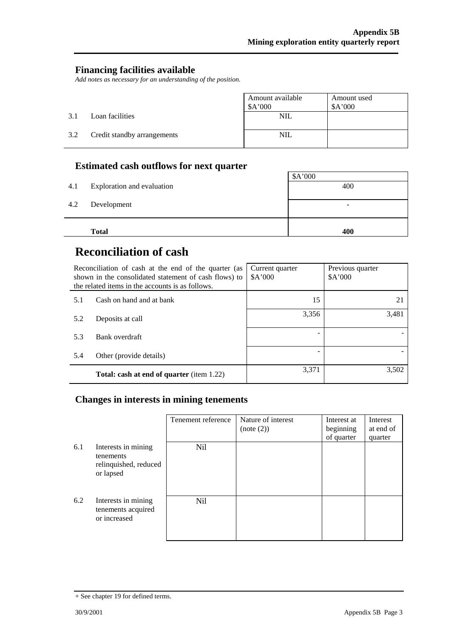#### **Financing facilities available**

*Add notes as necessary for an understanding of the position.* 

|     |                             | Amount available<br>\$A'000 | Amount used<br>A'000 |
|-----|-----------------------------|-----------------------------|----------------------|
| 3.1 | Loan facilities             | <b>NIL</b>                  |                      |
| 3.2 | Credit standby arrangements | <b>NIL</b>                  |                      |

## **Estimated cash outflows for next quarter**

| 4.1 | Exploration and evaluation | \$A'000<br>400 |
|-----|----------------------------|----------------|
| 4.2 | Development                | -              |
|     | <b>Total</b>               | 400            |

# **Reconciliation of cash**

|     | Reconciliation of cash at the end of the quarter (as<br>shown in the consolidated statement of cash flows) to<br>the related items in the accounts is as follows. | Current quarter<br>A'000 | Previous quarter<br>A'000 |
|-----|-------------------------------------------------------------------------------------------------------------------------------------------------------------------|--------------------------|---------------------------|
| 5.1 | Cash on hand and at bank                                                                                                                                          | 15                       | 21                        |
| 5.2 | Deposits at call                                                                                                                                                  | 3,356                    | 3,481                     |
| 5.3 | Bank overdraft                                                                                                                                                    |                          |                           |
| 5.4 | Other (provide details)                                                                                                                                           |                          |                           |
|     | <b>Total: cash at end of quarter</b> (item 1.22)                                                                                                                  | 3,371                    | 3,502                     |

### **Changes in interests in mining tenements**

|     |                                                                        | Tenement reference | Nature of interest<br>(note (2)) | Interest at<br>beginning<br>of quarter | Interest<br>at end of<br>quarter |
|-----|------------------------------------------------------------------------|--------------------|----------------------------------|----------------------------------------|----------------------------------|
| 6.1 | Interests in mining<br>tenements<br>relinquished, reduced<br>or lapsed | Nil                |                                  |                                        |                                  |
| 6.2 | Interests in mining<br>tenements acquired<br>or increased              | Nil                |                                  |                                        |                                  |

<sup>+</sup> See chapter 19 for defined terms.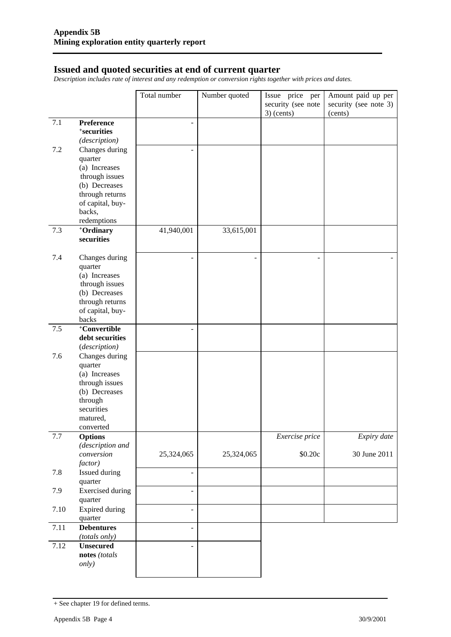#### **Issued and quoted securities at end of current quarter**

*Description includes rate of interest and any redemption or conversion rights together with prices and dates.* 

|         |                                 | Total number             | Number quoted  | Issue price per    | Amount paid up per    |
|---------|---------------------------------|--------------------------|----------------|--------------------|-----------------------|
|         |                                 |                          |                | security (see note | security (see note 3) |
|         |                                 |                          |                | $3)$ (cents)       | (cents)               |
| 7.1     | Preference                      |                          |                |                    |                       |
|         | <sup>+</sup> securities         |                          |                |                    |                       |
|         | (description)                   |                          |                |                    |                       |
| 7.2     | Changes during                  | $\overline{\phantom{a}}$ |                |                    |                       |
|         | quarter                         |                          |                |                    |                       |
|         | (a) Increases                   |                          |                |                    |                       |
|         | through issues                  |                          |                |                    |                       |
|         | (b) Decreases                   |                          |                |                    |                       |
|         | through returns                 |                          |                |                    |                       |
|         | of capital, buy-                |                          |                |                    |                       |
|         | backs,<br>redemptions           |                          |                |                    |                       |
| 7.3     | +Ordinary                       | 41,940,001               |                |                    |                       |
|         | securities                      |                          | 33,615,001     |                    |                       |
|         |                                 |                          |                |                    |                       |
| 7.4     | Changes during                  |                          | $\blacksquare$ |                    |                       |
|         | quarter                         |                          |                |                    |                       |
|         | (a) Increases                   |                          |                |                    |                       |
|         | through issues                  |                          |                |                    |                       |
|         | (b) Decreases                   |                          |                |                    |                       |
|         | through returns                 |                          |                |                    |                       |
|         | of capital, buy-                |                          |                |                    |                       |
|         | backs                           |                          |                |                    |                       |
| 7.5     | +Convertible                    |                          |                |                    |                       |
|         | debt securities                 |                          |                |                    |                       |
|         | (description)                   |                          |                |                    |                       |
| 7.6     | Changes during                  |                          |                |                    |                       |
|         | quarter                         |                          |                |                    |                       |
|         | (a) Increases<br>through issues |                          |                |                    |                       |
|         | (b) Decreases                   |                          |                |                    |                       |
|         | through                         |                          |                |                    |                       |
|         | securities                      |                          |                |                    |                       |
|         | matured,                        |                          |                |                    |                       |
|         | converted                       |                          |                |                    |                       |
| $7.7\,$ | <b>Options</b>                  |                          |                | Exercise price     | Expiry date           |
|         | (description and                |                          |                |                    |                       |
|         | conversion                      | 25,324,065               | 25,324,065     | \$0.20c            | 30 June 2011          |
|         | factor)                         |                          |                |                    |                       |
| 7.8     | Issued during                   |                          |                |                    |                       |
|         | quarter                         |                          |                |                    |                       |
| 7.9     | <b>Exercised</b> during         | $\blacksquare$           |                |                    |                       |
|         | quarter                         |                          |                |                    |                       |
| 7.10    | <b>Expired during</b>           | $\blacksquare$           |                |                    |                       |
|         | quarter                         |                          |                |                    |                       |
| 7.11    | <b>Debentures</b>               | $\overline{a}$           |                |                    |                       |
|         | (totals only)                   |                          |                |                    |                       |
| 7.12    | <b>Unsecured</b>                | $\overline{a}$           |                |                    |                       |
|         | notes (totals<br><i>only</i> )  |                          |                |                    |                       |
|         |                                 |                          |                |                    |                       |

<sup>+</sup> See chapter 19 for defined terms.